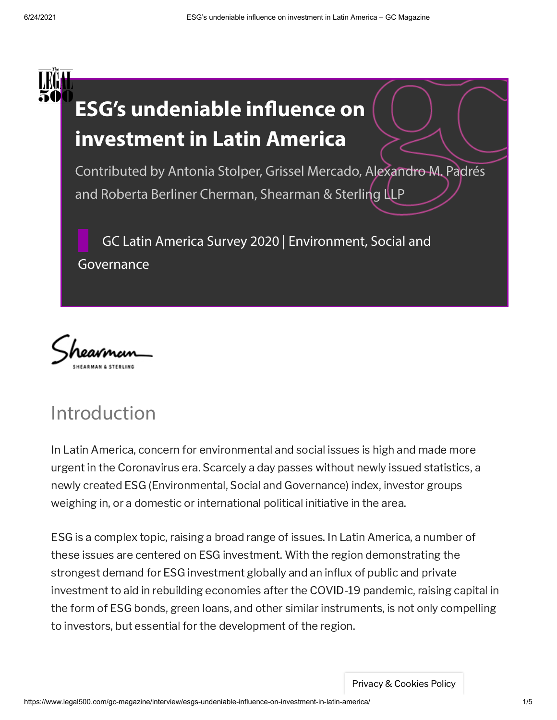



# Introduction

In Latin America, concern for environmental and social issues is high and made more urgent in the Coronavirus era. Scarcely a day passes without newly issued statistics, a newly created ESG (Environmental, Social and Governance) index, investor groups weighing in, or a domestic or international political initiative in the area.

ESG is a complex topic, raising a broad range of issues. In Latin America, a number of these issues are centered on ESG investment. With the region demonstrating the strongest demand for ESG investment globally and an influx of public and private investment to aid in rebuilding economies after the COVID-19 pandemic, raising capital in the form of ESG bonds, green loans, and other similar instruments, is not only compelling to investors, but essential for the development of the region.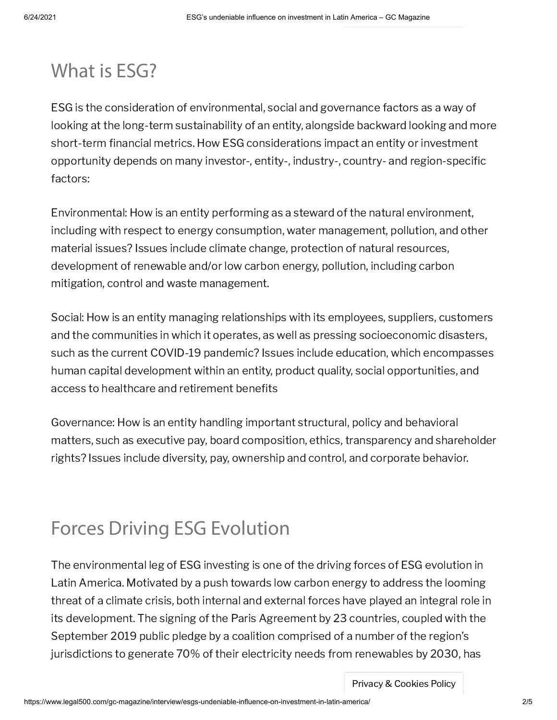# What is ESG?

ESG is the consideration of environmental, social and governance factors as a way of looking at the long-term sustainability of an entity, alongside backward looking and more short-term financial metrics. How ESG considerations impact an entity or investment opportunity depends on many investor-, entity-, industry-, country- and region-specific factors:

Environmental: How is an entity performing as a steward of the natural environment, including with respect to energy consumption, water management, pollution, and other material issues? Issues include climate change, protection of natural resources, development of renewable and/or low carbon energy, pollution, including carbon mitigation, control and waste management.

Social: How is an entity managing relationships with its employees, suppliers, customers and the communities in which it operates, as well as pressing socioeconomic disasters, such as the current COVID-19 pandemic? Issues include education, which encompasses human capital development within an entity, product quality, social opportunities, and access to healthcare and retirement benefits

Governance: How is an entity handling important structural, policy and behavioral matters, such as executive pay, board composition, ethics, transparency and shareholder rights? Issues include diversity, pay, ownership and control, and corporate behavior.

# Forces Driving ESG Evolution

The environmental leg of ESG investing is one of the driving forces of ESG evolution in Latin America. Motivated by a push towards low carbon energy to address the looming threat of a climate crisis, both internal and external forces have played an integral role in its development. The signing of the Paris Agreement by 23 countries, coupled with the September 2019 public pledge by a coalition comprised of a number of the region's jurisdictions to generate 70% of their electricity needs from renewables by 2030, has

Privacy & Cookies Policy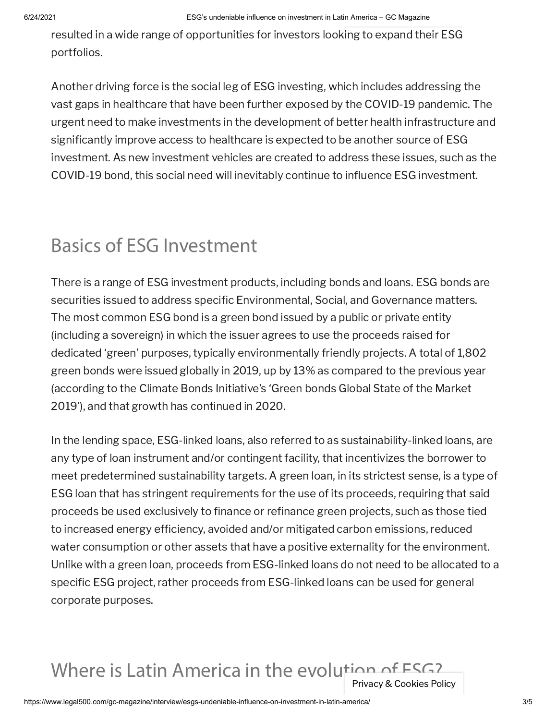resulted in a wide range of opportunities for investors looking to expand their ESG portfolios.

Another driving force is the social leg of ESG investing, which includes addressing the vast gaps in healthcare that have been further exposed by the COVID-19 pandemic. The urgent need to make investments in the development of better health infrastructure and significantly improve access to healthcare is expected to be another source of ESG investment. As new investment vehicles are created to address these issues, such as the COVID-19 bond, this social need will inevitably continue to influence ESG investment.

# Basics of ESG Investment

There is a range of ESG investment products, including bonds and loans. ESG bonds are securities issued to address specific Environmental, Social, and Governance matters. The most common ESG bond is a green bond issued by a public or private entity (including a sovereign) in which the issuer agrees to use the proceeds raised for dedicated 'green' purposes, typically environmentally friendly projects. A total of 1,802 green bonds were issued globally in 2019, up by 13% as compared to the previous year (according to the Climate Bonds Initiative's 'Green bonds Global State of the Market 2019'), and that growth has continued in 2020.

In the lending space, ESG-linked loans, also referred to as sustainability-linked loans, are any type of loan instrument and/or contingent facility, that incentivizes the borrower to meet predetermined sustainability targets. A green loan, in its strictest sense, is a type of ESG loan that has stringent requirements for the use of its proceeds, requiring that said proceeds be used exclusively to finance or refinance green projects, such as those tied to increased energy efficiency, avoided and/or mitigated carbon emissions, reduced water consumption or other assets that have a positive externality for the environment. Unlike with a green loan, proceeds from ESG-linked loans do not need to be allocated to a specific ESG project, rather proceeds from ESG-linked loans can be used for general corporate purposes.

### Where is Latin America in the evolution of ESG? Privacy & Cookies Policy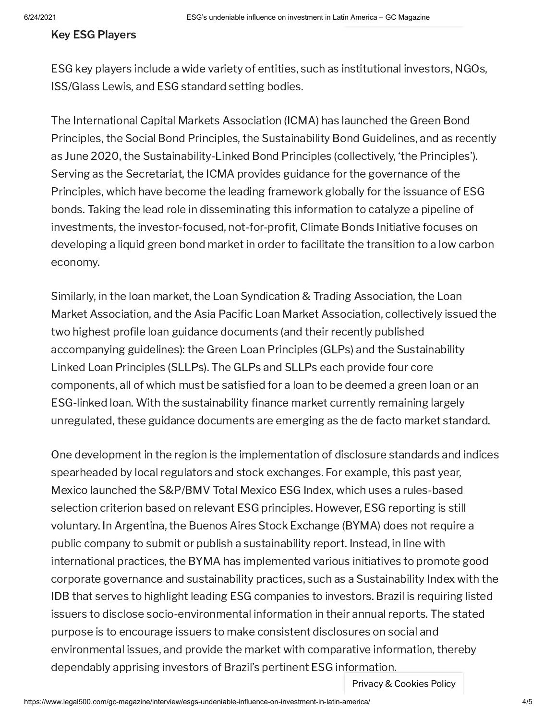#### Key ESG Players

ESG key players include a wide variety of entities, such as institutional investors, NGOs, ISS/Glass Lewis, and ESG standard setting bodies.

The International Capital Markets Association (ICMA) has launched the Green Bond Principles, the Social Bond Principles, the Sustainability Bond Guidelines, and as recently as June 2020, the Sustainability-Linked Bond Principles (collectively, 'the Principles'). Serving as the Secretariat, the ICMA provides guidance for the governance of the Principles, which have become the leading framework globally for the issuance of ESG bonds. Taking the lead role in disseminating this information to catalyze a pipeline of investments, the investor-focused, not-for-profit, Climate Bonds Initiative focuses on developing a liquid green bond market in order to facilitate the transition to a low carbon economy.

Similarly, in the loan market, the Loan Syndication & Trading Association, the Loan Market Association, and the Asia Pacific Loan Market Association, collectively issued the two highest profile loan guidance documents (and their recently published accompanying guidelines): the Green Loan Principles (GLPs) and the Sustainability Linked Loan Principles (SLLPs). The GLPs and SLLPs each provide four core components, all of which must be satisfied for a loan to be deemed a green loan or an ESG-linked loan. With the sustainability finance market currently remaining largely unregulated, these guidance documents are emerging as the de facto market standard.

One development in the region is the implementation of disclosure standards and indices spearheaded by local regulators and stock exchanges. For example, this past year, Mexico launched the S&P/BMV Total Mexico ESG Index, which uses a rules-based selection criterion based on relevant ESG principles. However, ESG reporting is still voluntary. In Argentina, the Buenos Aires Stock Exchange (BYMA) does not require a public company to submit or publish a sustainability report. Instead, in line with international practices, the BYMA has implemented various initiatives to promote good corporate governance and sustainability practices, such as a Sustainability Index with the IDB that serves to highlight leading ESG companies to investors. Brazil is requiring listed issuers to disclose socio-environmental information in their annual reports. The stated purpose is to encourage issuers to make consistent disclosures on social and environmental issues, and provide the market with comparative information, thereby dependably apprising investors of Brazil's pertinent ESG information.

Privacy & Cookies Policy